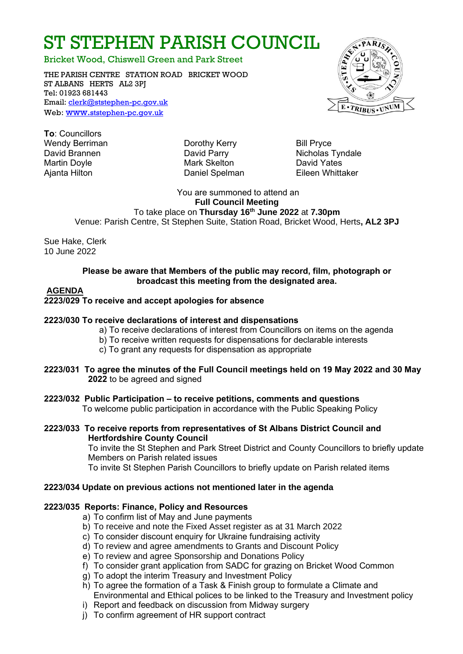# ST STEPHEN PARISH COUNCIL

Bricket Wood, Chiswell Green and Park Street

THE PARISH CENTRE STATION ROAD BRICKET WOOD ST ALBANS HERTS AL2 3PJ Tel: 01923 681443 Email: [clerk@ststephen-pc.gov.uk](mailto:clerk@ststephen-pc.gov.uk)  Web: www.[ststephen-pc.gov.uk](http://www.ststephen-pc.gov.uk/)

**To**: Councillors Wendy Berriman **Dorothy Kerry** Bill Pryce Martin Doyle **Mark Skelton** Mark Skelton **David Yates** Ajanta Hilton Daniel Spelman Eileen Whittaker

David Brannen **David Parry Container Parry Containers** David Parry Nicholas Tyndale

You are summoned to attend an **Full Council Meeting** 

 To take place on **Thursday 16th June 2022** at **7.30pm** Venue: Parish Centre, St Stephen Suite, Station Road, Bricket Wood, Herts**, AL2 3PJ**

Sue Hake, Clerk 10 June 2022

#### **Please be aware that Members of the public may record, film, photograph or broadcast this meeting from the designated area.**

## **AGENDA**

## **2223/029 To receive and accept apologies for absence**

#### **2223/030 To receive declarations of interest and dispensations**

- a) To receive declarations of interest from Councillors on items on the agenda
- b) To receive written requests for dispensations for declarable interests
- c) To grant any requests for dispensation as appropriate
- **2223/031 To agree the minutes of the Full Council meetings held on 19 May 2022 and 30 May 2022** to be agreed and signed
- **2223/032 Public Participation – to receive petitions, comments and questions** To welcome public participation in accordance with the Public Speaking Policy
- **2223/033 To receive reports from representatives of St Albans District Council and Hertfordshire County Council**

To invite the St Stephen and Park Street District and County Councillors to briefly update Members on Parish related issues

To invite St Stephen Parish Councillors to briefly update on Parish related items

## **2223/034 Update on previous actions not mentioned later in the agenda**

# **2223/035 Reports: Finance, Policy and Resources**

- a) To confirm list of May and June payments
- b) To receive and note the Fixed Asset register as at 31 March 2022
- c) To consider discount enquiry for Ukraine fundraising activity
- d) To review and agree amendments to Grants and Discount Policy
- e) To review and agree Sponsorship and Donations Policy
- f) To consider grant application from SADC for grazing on Bricket Wood Common
- g) To adopt the interim Treasury and Investment Policy
- h) To agree the formation of a Task & Finish group to formulate a Climate and Environmental and Ethical polices to be linked to the Treasury and Investment policy
- i) Report and feedback on discussion from Midway surgery
- j) To confirm agreement of HR support contract